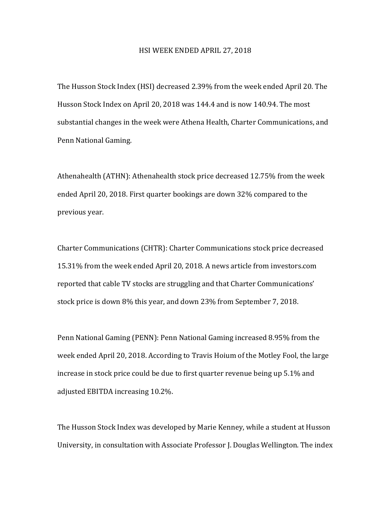## HSI WEEK ENDED APRIL 27, 2018

The Husson Stock Index (HSI) decreased 2.39% from the week ended April 20. The Husson Stock Index on April 20, 2018 was 144.4 and is now 140.94. The most substantial changes in the week were Athena Health, Charter Communications, and Penn National Gaming.

Athenahealth (ATHN): Athenahealth stock price decreased 12.75% from the week ended April 20, 2018. First quarter bookings are down 32% compared to the previous year.

Charter Communications (CHTR): Charter Communications stock price decreased 15.31% from the week ended April 20, 2018. A news article from investors.com reported that cable TV stocks are struggling and that Charter Communications' stock price is down 8% this year, and down 23% from September 7, 2018.

Penn National Gaming (PENN): Penn National Gaming increased 8.95% from the week ended April 20, 2018. According to Travis Hoium of the Motley Fool, the large increase in stock price could be due to first quarter revenue being up 5.1% and adjusted EBITDA increasing 10.2%.

The Husson Stock Index was developed by Marie Kenney, while a student at Husson University, in consultation with Associate Professor J. Douglas Wellington. The index